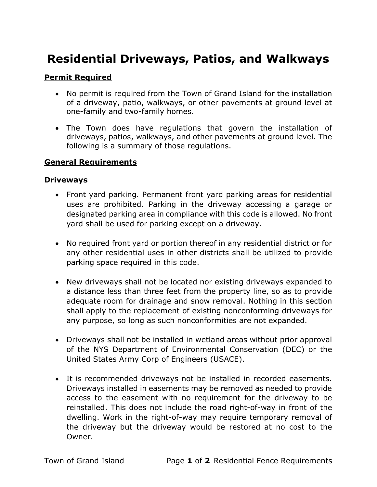# Residential Driveways, Patios, and Walkways

## Permit Required

- No permit is required from the Town of Grand Island for the installation of a driveway, patio, walkways, or other pavements at ground level at one-family and two-family homes.
- The Town does have regulations that govern the installation of driveways, patios, walkways, and other pavements at ground level. The following is a summary of those regulations.

### General Requirements

#### **Driveways**

- Front yard parking. Permanent front yard parking areas for residential uses are prohibited. Parking in the driveway accessing a garage or designated parking area in compliance with this code is allowed. No front yard shall be used for parking except on a driveway.
- No required front yard or portion thereof in any residential district or for any other residential uses in other districts shall be utilized to provide parking space required in this code.
- New driveways shall not be located nor existing driveways expanded to a distance less than three feet from the property line, so as to provide adequate room for drainage and snow removal. Nothing in this section shall apply to the replacement of existing nonconforming driveways for any purpose, so long as such nonconformities are not expanded.
- Driveways shall not be installed in wetland areas without prior approval of the NYS Department of Environmental Conservation (DEC) or the United States Army Corp of Engineers (USACE).
- It is recommended driveways not be installed in recorded easements. Driveways installed in easements may be removed as needed to provide access to the easement with no requirement for the driveway to be reinstalled. This does not include the road right-of-way in front of the dwelling. Work in the right-of-way may require temporary removal of the driveway but the driveway would be restored at no cost to the Owner.